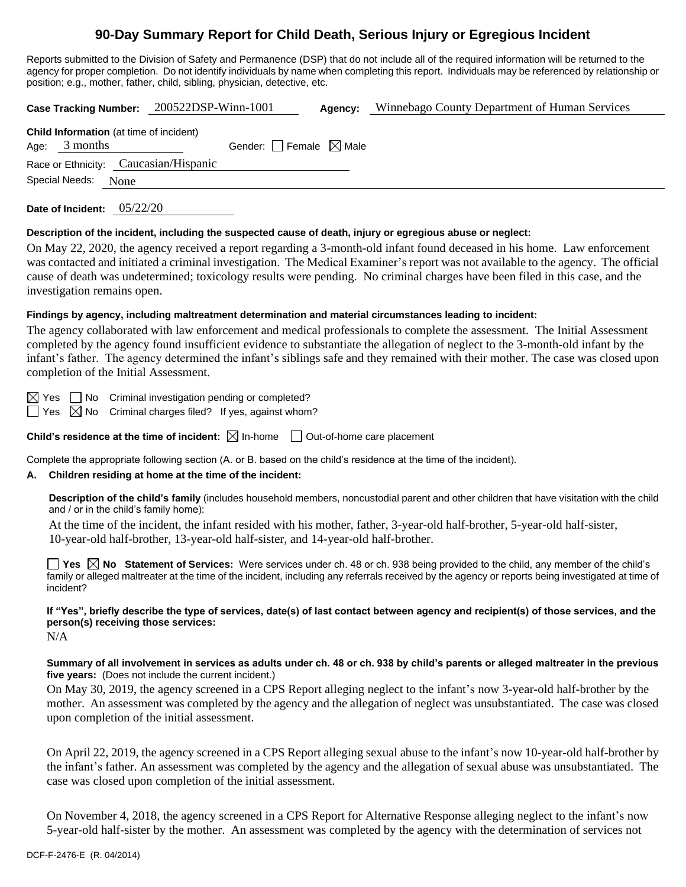# **90-Day Summary Report for Child Death, Serious Injury or Egregious Incident**

Reports submitted to the Division of Safety and Permanence (DSP) that do not include all of the required information will be returned to the agency for proper completion. Do not identify individuals by name when completing this report. Individuals may be referenced by relationship or position; e.g., mother, father, child, sibling, physician, detective, etc.

**Case Tracking Number:** 200522DSP-Winn-1001 **Agency:** Winnebago County Department of Human Services

| <b>Child Information</b> (at time of incident) |                                       |                                 |  |  |  |  |  |
|------------------------------------------------|---------------------------------------|---------------------------------|--|--|--|--|--|
| Age: $3$ months                                |                                       | Gender: Female $\boxtimes$ Male |  |  |  |  |  |
|                                                | Race or Ethnicity: Caucasian/Hispanic |                                 |  |  |  |  |  |
| Special Needs: None                            |                                       |                                 |  |  |  |  |  |

**Date of Incident:** 05/22/20

### **Description of the incident, including the suspected cause of death, injury or egregious abuse or neglect:**

On May 22, 2020, the agency received a report regarding a 3-month-old infant found deceased in his home. Law enforcement was contacted and initiated a criminal investigation. The Medical Examiner's report was not available to the agency. The official cause of death was undetermined; toxicology results were pending. No criminal charges have been filed in this case, and the investigation remains open.

## **Findings by agency, including maltreatment determination and material circumstances leading to incident:**

The agency collaborated with law enforcement and medical professionals to complete the assessment. The Initial Assessment completed by the agency found insufficient evidence to substantiate the allegation of neglect to the 3-month-old infant by the infant's father. The agency determined the infant's siblings safe and they remained with their mother. The case was closed upon completion of the Initial Assessment.

 $\boxtimes$  Yes  $\Box$  No Criminal investigation pending or completed?

 $\Box$  Yes  $\boxtimes$  No Criminal charges filed? If yes, against whom?

**Child's residence at the time of incident:**  $\boxtimes$  In-home  $\Box$  Out-of-home care placement

Complete the appropriate following section (A. or B. based on the child's residence at the time of the incident).

### **A. Children residing at home at the time of the incident:**

**Description of the child's family** (includes household members, noncustodial parent and other children that have visitation with the child and / or in the child's family home):

At the time of the incident, the infant resided with his mother, father, 3-year-old half-brother, 5-year-old half-sister, 10-year-old half-brother, 13-year-old half-sister, and 14-year-old half-brother.

**Yes No Statement of Services:** Were services under ch. 48 or ch. 938 being provided to the child, any member of the child's family or alleged maltreater at the time of the incident, including any referrals received by the agency or reports being investigated at time of incident?

**If "Yes", briefly describe the type of services, date(s) of last contact between agency and recipient(s) of those services, and the person(s) receiving those services:**

N/A

**Summary of all involvement in services as adults under ch. 48 or ch. 938 by child's parents or alleged maltreater in the previous five years:** (Does not include the current incident.)

On May 30, 2019, the agency screened in a CPS Report alleging neglect to the infant's now 3-year-old half-brother by the mother. An assessment was completed by the agency and the allegation of neglect was unsubstantiated. The case was closed upon completion of the initial assessment.

On April 22, 2019, the agency screened in a CPS Report alleging sexual abuse to the infant's now 10-year-old half-brother by the infant's father. An assessment was completed by the agency and the allegation of sexual abuse was unsubstantiated. The case was closed upon completion of the initial assessment.

On November 4, 2018, the agency screened in a CPS Report for Alternative Response alleging neglect to the infant's now 5-year-old half-sister by the mother. An assessment was completed by the agency with the determination of services not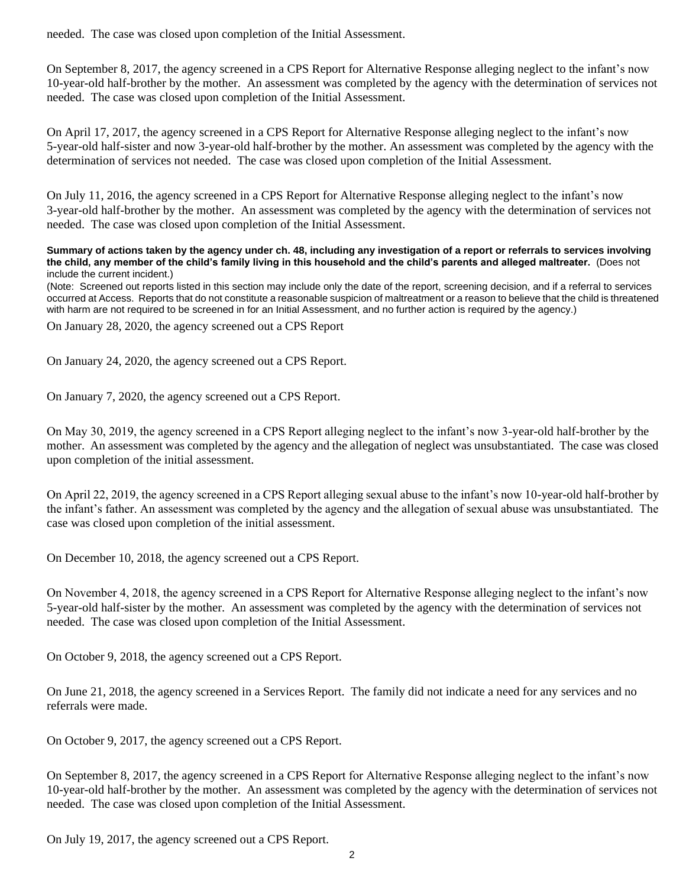needed. The case was closed upon completion of the Initial Assessment.

On September 8, 2017, the agency screened in a CPS Report for Alternative Response alleging neglect to the infant's now 10-year-old half-brother by the mother. An assessment was completed by the agency with the determination of services not needed. The case was closed upon completion of the Initial Assessment.

On April 17, 2017, the agency screened in a CPS Report for Alternative Response alleging neglect to the infant's now 5-year-old half-sister and now 3-year-old half-brother by the mother. An assessment was completed by the agency with the determination of services not needed. The case was closed upon completion of the Initial Assessment.

On July 11, 2016, the agency screened in a CPS Report for Alternative Response alleging neglect to the infant's now 3-year-old half-brother by the mother. An assessment was completed by the agency with the determination of services not needed. The case was closed upon completion of the Initial Assessment.

**Summary of actions taken by the agency under ch. 48, including any investigation of a report or referrals to services involving the child, any member of the child's family living in this household and the child's parents and alleged maltreater.** (Does not include the current incident.)

(Note: Screened out reports listed in this section may include only the date of the report, screening decision, and if a referral to services occurred at Access. Reports that do not constitute a reasonable suspicion of maltreatment or a reason to believe that the child is threatened with harm are not required to be screened in for an Initial Assessment, and no further action is required by the agency.)

On January 28, 2020, the agency screened out a CPS Report

On January 24, 2020, the agency screened out a CPS Report.

On January 7, 2020, the agency screened out a CPS Report.

On May 30, 2019, the agency screened in a CPS Report alleging neglect to the infant's now 3-year-old half-brother by the mother. An assessment was completed by the agency and the allegation of neglect was unsubstantiated. The case was closed upon completion of the initial assessment.

On April 22, 2019, the agency screened in a CPS Report alleging sexual abuse to the infant's now 10-year-old half-brother by the infant's father. An assessment was completed by the agency and the allegation of sexual abuse was unsubstantiated. The case was closed upon completion of the initial assessment.

On December 10, 2018, the agency screened out a CPS Report.

On November 4, 2018, the agency screened in a CPS Report for Alternative Response alleging neglect to the infant's now 5-year-old half-sister by the mother. An assessment was completed by the agency with the determination of services not needed. The case was closed upon completion of the Initial Assessment.

On October 9, 2018, the agency screened out a CPS Report.

On June 21, 2018, the agency screened in a Services Report. The family did not indicate a need for any services and no referrals were made.

On October 9, 2017, the agency screened out a CPS Report.

On September 8, 2017, the agency screened in a CPS Report for Alternative Response alleging neglect to the infant's now 10-year-old half-brother by the mother. An assessment was completed by the agency with the determination of services not needed. The case was closed upon completion of the Initial Assessment.

On July 19, 2017, the agency screened out a CPS Report.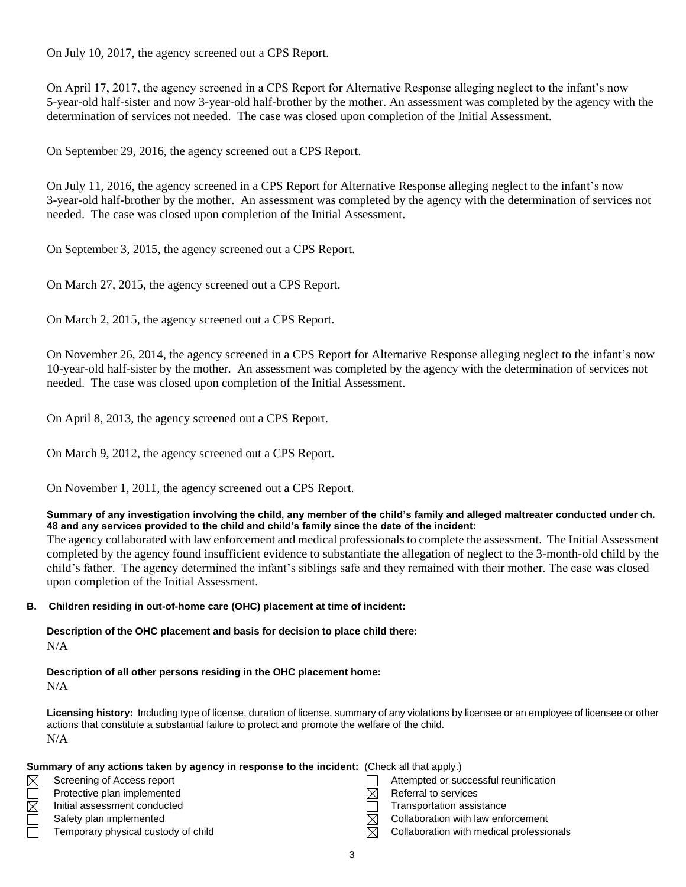On July 10, 2017, the agency screened out a CPS Report.

On April 17, 2017, the agency screened in a CPS Report for Alternative Response alleging neglect to the infant's now 5-year-old half-sister and now 3-year-old half-brother by the mother. An assessment was completed by the agency with the determination of services not needed. The case was closed upon completion of the Initial Assessment.

On September 29, 2016, the agency screened out a CPS Report.

On July 11, 2016, the agency screened in a CPS Report for Alternative Response alleging neglect to the infant's now 3-year-old half-brother by the mother. An assessment was completed by the agency with the determination of services not needed. The case was closed upon completion of the Initial Assessment.

On September 3, 2015, the agency screened out a CPS Report.

On March 27, 2015, the agency screened out a CPS Report.

On March 2, 2015, the agency screened out a CPS Report.

On November 26, 2014, the agency screened in a CPS Report for Alternative Response alleging neglect to the infant's now 10-year-old half-sister by the mother. An assessment was completed by the agency with the determination of services not needed. The case was closed upon completion of the Initial Assessment.

On April 8, 2013, the agency screened out a CPS Report.

On March 9, 2012, the agency screened out a CPS Report.

On November 1, 2011, the agency screened out a CPS Report.

### **Summary of any investigation involving the child, any member of the child's family and alleged maltreater conducted under ch. 48 and any services provided to the child and child's family since the date of the incident:**

The agency collaborated with law enforcement and medical professionals to complete the assessment. The Initial Assessment completed by the agency found insufficient evidence to substantiate the allegation of neglect to the 3-month-old child by the child's father. The agency determined the infant's siblings safe and they remained with their mother. The case was closed upon completion of the Initial Assessment.

### **B. Children residing in out-of-home care (OHC) placement at time of incident:**

**Description of the OHC placement and basis for decision to place child there:** N/A

#### **Description of all other persons residing in the OHC placement home:**  $N/A$

**Licensing history:** Including type of license, duration of license, summary of any violations by licensee or an employee of licensee or other actions that constitute a substantial failure to protect and promote the welfare of the child. N/A

|                                     |                                                                                                                      | Attempted or successful reunification                                                       |
|-------------------------------------|----------------------------------------------------------------------------------------------------------------------|---------------------------------------------------------------------------------------------|
|                                     |                                                                                                                      | Referral to services                                                                        |
|                                     |                                                                                                                      | Transportation assistance                                                                   |
|                                     |                                                                                                                      | Collaboration with law enforcement                                                          |
| Temporary physical custody of child | M                                                                                                                    | Collaboration with medical professionals                                                    |
|                                     | Screening of Access report<br>Protective plan implemented<br>Initial assessment conducted<br>Safety plan implemented | Summary of any actions taken by agency in response to the incident: (Check all that apply.) |